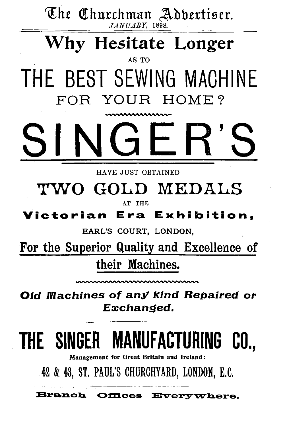The Churchman Adbertiser.  $JANUARY$ , 1898.

# Why Hesitate Longer

AS TO THE BEST SEWING MACHINE FOR YOUR HOME?

HAVE JUST OBTAINED

# TWO GOLD MEDALS

AT THE

# Victorian Era Exhibition.

EARL'S COURT, LONDON.

For the Superior Quality and Excellence of their Machines.

Old Machines of any Kind Repaired or Exchanged.

# THE SINGER MANUFACTURING CO..

Management for Great Britain and Ireland:

42 & 43, ST. PAUL'S CHURCHYARD, LONDON, E.C.

**Branch Offices Everywhere.**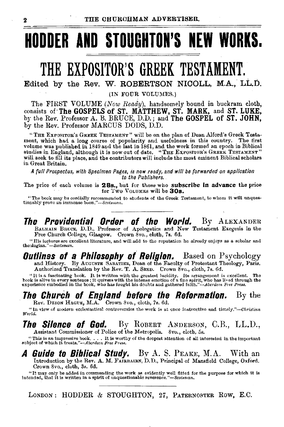# **HODDER AND STOUGHTON'S NEW WORKS.**

# **THE EXPOSITOR'S GREEK TESTAMENT.**

Edited by the Rev. W. ROBERTSON NICOLL, M.A., LL.D.

(IN FOUR VOLUMES.)

The FIRST VOLUME *(Now Ready),* handsomely bound in buckram cloth, consists of'The GOSPELS of ST. MATTHEW, ST. MARK, and ST. LUKE, by the Rev. Professor A. B. BRUCE, D.D.; and The GOSPEL of ST. JOHN, by the Rev. Professor MARCUS DODS, D.D.

"THE EXPOSITOR'S GREEK TESTAMENT" will be on the plan of Dean Alford's Greek Testament, which had a long course of popularity and usefulness in this country. The first volume was published in 1849 and the last in 1861, and the work formed an epoch in Biblical<br>studies in England, although it is now out of date. "The ExposITOR's GREEK TESTAMENT" will seek to fill its place, and the contributors will include the most eminent Biblical scholars in Great Britain.

*A full Prospectus, with Specinum Pages, is now ready, and will be forwarded on application to the Publishers.* 

The price of each volume is **28s.**, but for those who **subscribe in advance** the price for Two VoLUMKs will be **30s.** 

"The book may be cordially recommended to students of the Greek Testament, to whom it will unquestionably prove an immense buon." $-$ Scotsman.

**The Providential Order of the World.** By ALEXANDER BALMAIN BRUCK, D.D., Professor of Apologetics and New Testament Exegesis in the Free Church College, Glasgow. Crown 8vo., cloth, 7s. 6d.

"His lectures are excellent literature, and will add to the reputation he already enjoys as a scholar and theologian." *-Scotsman.* 

**Outlines of a Philosophy of Religion.** Based on Psychology and History. By AUGUSTER, Dean of the Faculty of Protestant Theology, Paris. Authorized Translation by the Rev. T. A. SEED. Crown 8vo., cloth, 7s. 6d.

"It is a fascinating book. It is written with the greatest lucidity. Its arrangement is excellent. The hook is alive in every sentence; it quivers with the intense emotion of a fine spirit, who has lived through the exper

# . **The Church of England before the Reformation.** By the

Rev. Drson HAGUE, M.A. Crown 8vo., cloth, 7s. 6d.

"In view of modern ecclesiastical controversies the work is at once instructive and timely."--Christian *Wor!d.* 

### **The Silence of God.** By RoBERT ANDERsoN, C.B., LL.D., Assistant Commissioner of Police of the Metropolis. Svo., cloth, 5s.

"This is an impressive book. . . . It is worthy of the deepest attention of all interested in the important subject of which it treats."--Aberdeen Free Press.

A Guide to **Biblical Study.** By A. S. PEAKE, M.A. With an Introduction by the Rev. A. M. FAIRBAIRN, D.D., Principal of Mansfield College, Oxford. Crown 8vo., cloth, 3s. 6d.

"It may only be added in commending the work as evidently well fitted for the purpose for which it is intended, that it is written in a spirit of unquestionable reverence."-Scotsman.

LONDON: HODDER & STOUGHTON, 27, PATERNOSTER ROW, E.C.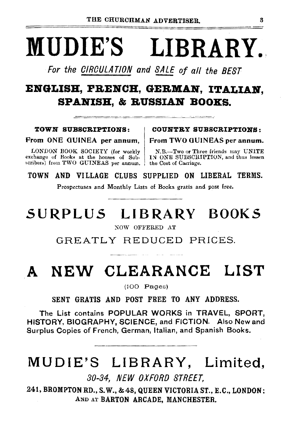# MUDIE'S LIBRARY.

For the 0/ROULATION and SALE of all the BEST

# ENGLISH, FRENCH, GERMAN, ITALIAN. SPANISH, & RUSSIAN BOOKS.

### TOWN SUBSCRIPTIONS: | COUNTRY SUBSCRIPTIONS:

From ONE GUINEA per annum, From TWO GUINEAS per annum.

LONDON BOOK SOCIETY (for weekly N.B.-Two or Three friends may UNITE exchange of Books at the houses of Sub- 1N ONE SUBSCRIPTION, and thus lessen scribers) from TWO GUINEAS per annum.

IN ONE SUBSCRIPTION, and thus lessen the Cost of Carriage.

TOWN AND VILLAGE CLUBS SUPPLIED ON LIBERAL TERMS.

Prospectuses and Monthly Lists of Books gratis and post free.

# SURPLUS LIBRARY BOOKS

NOW OFFERED AT

GREATLY REDUCED PRICES.

# A NEW CLEARANCE LIST

(100 Pages)

SENT GRATIS AND POST FREE TO ANY ADDRESS.

The List contains POPULAR WORKS in TRAVEL, SPORT, HISTORY, BIOGRAPHY, SCIENCE, and FICTION. Also New and Surplus Copies of French, German, Italian, and Spanish Books.

# MUDIE'S LIBRARY, Limited,

30-34, NEW OXFORD STREET,

241, BROMPTON RD., S.W., & 48, QUEEN VICTORIA ST., E.C., LONDON; AND AT BARTON ARCADE, MANCHESTER.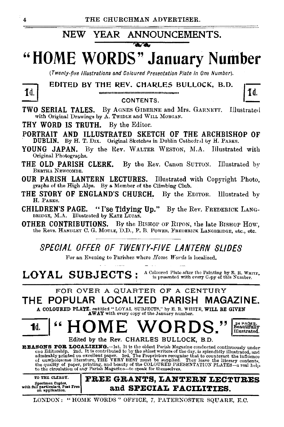#### NEW YEAR ANNOUNCEMENTS.

#### $\overline{\mathbf{a}}$

### "HOME WORDS" **January Number**

(Twenty-five Illustrations and Coloured Presentation Plate in One Number).

#### EDITED BY THE REV. CHARLES BULLOCK, B.D.

1d.

CONTENTS. TWO SERIAL TALES. By AGNES GIBERNE and Mrs. GARNETT. Illustrated with Original Drawings by A. TWIDLE and WILL MORGAN.

THY WORD IS TRUTH. By the Editor.

PORTRAIT AND ILLUSTRATED SKETCH OF THE ARCHBISHOP OF DUBLIN. By H. T. DIX. Original Sketches in Dublin Cathedral by H. PARKS.

YOUNG JAPAN. By the Rev. WALTER WESTON, M.A. Illustrated with Original Photographs.

THE OLD PARISH CLERK. By the Rev. Canon SUTTON. Illustrated by BERTHA NEWCOMBE.

OUR PARISH LANTERN LECTURES. Illustrated with Copyright Photo, graphs of the High Alps. By a Member of the Climbing Club.

THE STORY OF ENGLAND'S CHURCH. By the EDITOR. Illustrated by H. PARKS.

**CHILDREN'S PAGE.** "I'se Tidving Up." By the Rev. FREDERICK LANG-BRIDGE, M.A. Illustrated by KATE LUCAS.

**OTHER CONTRIBUTIONS.** By the BISHOP OF RIPON, the late BISHOP How. the Revs. HANDLEY C. G. MOULE, D.D., P. B. POWER, FREDERICK LANGBRIDGE, etc., etc.,

SPECIAL OFFER OF TWENTY-FIVE LANTERN SLIDES

For an Evening to Parishes where Home Words is localized.

A Coloured Plate after the Painting by E. R. WHITE, LOYAL SUBJECTS: is presented with every Copy of this Number.

### FOR OVER A QUARTER OF A CENTURY THE POPULAR LOCALIZED PARISH MAGAZINE.

A COLOURED PLATE. entitled "LOYAL SUBJECTS," by E. R. WHITE, WILL BE GIVEN AWAY with every copy of the January number.

55 24 PAGES.<br>Beautifully ≤≤ ME 1d. Illustrated. Edited by the Rev. CHARLES BULLOCK, B.D.

REASONS FOR LOCALIZING. It is the oldest Parish Magazine conducted continuously under<br>one Editorship. 2nd. It is contributed to by the ablest writers of the day, is splendidly illustrated, and<br>admirably printed on excellen



LONDON: "HOME WORDS" OFFICE, 7, PATERNOSTER SQUARE, E.C.

1d.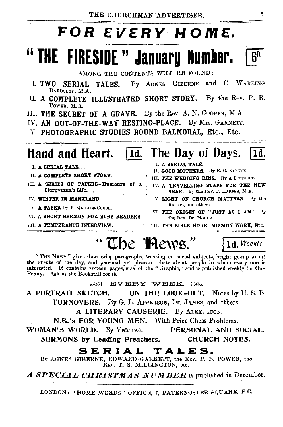# **FOR EVERY MOME.**

# "THE FIRESIDE" January Number.

AMONG THE CONTENTS WILL BE FOUND:

- GIBERNE and C. WAREING I. TWO SERIAL TALES. By AGNES BARDSLEY, M.A.
- II. A COMPLETE ILLUSTRATED SHORT STORY. By the Rev. P. B. POWER, M.A.
- III. THE SECRET OF A GRAVE. By the Rev. A. N. COOPER, M.A.
- IV. AN OUT-OF-THE-WAY RESTING-PLACE. By Mrs. GARNETT.
- V. PHOTOGRAPHIC STUDIES ROUND BALMORAL, Etc., Etc.

11d.

# Hand and Heart.

- I. A SERIAL TALE.
- **U. A COMPLETE SHORT STORY.**
- III. A SERIES OF PAPERS-Humours of a Clergyman's Life.
- IV. WINTER IN MANXLAND.
- V. A PAPER by M. QUILLEB COUCH.
- VI. A SHORT SERMON FOR BUSY READERS.
- VII. A TEMPERANCE INTERVIEW.

#### The Day of Days.  $1d$ .

- I. A SERIAL TALE.
- II. GOOD MOTHERS. By E. C. KENYON.
- III. THE WEDDING RING. By A BENEDICT.
- IV. A TRAVELLING STAFF FOR THE NEW YEAR. By the Rev. F. HARPER, M.A.
- V. LIGHT ON CHURCH MATTERS. By the EDITOR, and others.
- VI. THE ORIGIN OF "JUST AS I AM." By the Rev. Dr. Mouth.
- VII. THE BIBLE HOUR, MISSION WORK, Etc.

1d. Weekly.

"The Thews."

"THE NEWS " gives short crisp paragraphs, treating on social subjects, bright gossip about the events of the day, and personal yet pleasant chats about people in whom every one is interested. It contains sixteen pages, size of the "Graphic," and is published weekly for One Penny. Ask at the Bookstall for it.

AN EVERY WEEK XA.

A PORTRAIT SKETCH. ON THE LOOK-OUT. Notes by H. S. B. TURNOVERS. By G. L. APPERSON, Dr. JAMES, and others.

A LITERARY CAUSERIE. By ALEX. ICON.

N.B.'s FOR YOUNG MEN, With Prize Chess Problems.

WOMAN'S WORLD. By VERITAS.

PERSONAL AND SOCIAL. CHURCH NOTES.

SERMONS by Leading Preachers.

### SERIAL TALES.

By AGNES GIBERNE, EDWARD GARRETT, the REV. P. B. POWER, the REV. T. S. MILLINGTON, etc.

 $\boldsymbol{A}$  SPECIAL CHRISTMAS NUMBER is published in December.

LONDON: "HOME WORDS" OFFICE, 7, PATERNOSTER SQUARE, E.C.

 $60.$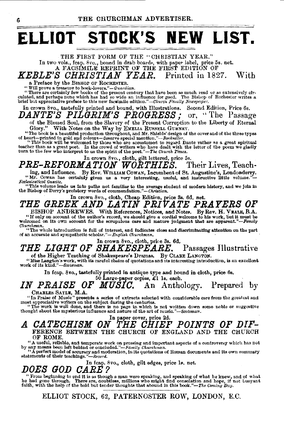# **ELLIOT STOCK'S NEW LIST.**

THE FIRST FORM OF THE ''CHRISTIAN YEAR." In two vols., fcap. 8vo., bound in drab boarde, with paper label, price 5s. net. A FACSIMILE REPRINT OF THE FIRST EDITION OF

*KEBLE'S CHRISTIAN YEAR.* Printed in 1827. With a Preface by the BISHOP OF ROCHESTER.

**''Will prove a treasure to book-lovers."'-Guardian.** 

"There are certainly few books of the present century that have been as much read or as extensively circulated, and perhaps none which has had so wide an influence for good. The Bishop of Rochester writes a brief birds had

In crown 8vo., tastefully printed and bound, with Illustrations. Second Edition, Price 6s.<br> $DANTE'S\ \ PILGRIM'S\ \ PROGRESS:\ \ \text{or.}$  "The Passage  $\overline{DANTE'S}$  PILGRIM'S PROGRESS; of the Blessed Soul, from the Slavery of the Present Corruption to the Liberty of Eternal Glory." With Notes on the Way by EMELIA RUSSELL GURNEY.

The book is a beautiful production throughout, and Mr. Shields' design of the cover and of the three types."<br>"Deart—printed in gold and colours—descrye special mention."—Bookseller.<br>"This book will be welcomed by those who

teacher than as a great poet. In the crowd of writers who have dealt with the letter of the poem we gladly turn to the few who interpret to us the spirit of the poet."-The *Church Times*.

### In crown 8vo., cloth, gilt lettered, price 5s.<br>[ATION WORTHIES. Their Lives, Teach-**PRE-REFORMATION WORTHIES.**

ing, and Influence. By Rev. WILLIAM COWAN, Incumbent of St. Augustine's, Londonderry.<br>"Mr. Cowan has certainly given us a very interesting, useful, and instructive little volume."-"Mr. Cowan has certainly given us a very interesting, useful, and instructive little volume."-<br>*Ecclesiastical Gazette*.

"This volume leads us into paths not familiar to the average student of modern history, and we join in the Bishop of Derry's prefatory words of commendation."—Christian.

In crown 8vo., cloth, Cheap Edition, price 3s. 6d. net.

## *THE GREEK .AND LATIN PRIVATE PRAYERS OF*

BISHOP ANDREWES. With References, Notices, and Notes. By Rev. H. VEALE, B.A. "If only on account of the author's record, we should give a cordial welcome to his work, but it must be welcomed on its own account for the scrupulous care and mature judgment that are apparent."-Family welcomed on its own account for the scrupulous care and mature judgment that are apparent."-Family *Churchman*.

"The whole introduction is full of interest, and indicates close and discriminating attention on the part of an accurate and sympathetic *scholar."-English Churchman*.

In crown 8vo., cloth, price 3s. 6d.

# **THE LIGHT OF SHAKESPEARE.** Passages Illustrative

of the Higher Teaching of Shakespeare's Dramas. By CLARE LANGTON. "Miss Langton's work, with its careful choice of quotations and its interesting introduction, is an excellent work of its kind." *-Seot.man.* 

In fcap. 8vo., tastefully printed in antique type and bound in cloth, price 6s.

IN PRAISE OF <sup>50 Large-paper copies, £1</sup> 1s, each. *PRAISE* OF *MUSIC*. An Anthology. Prepared by

CHARLES SAYLE, M.A. The Seconds a series of extracts selected with considerable care from the greatest and "In Praise of the subject during the centuries.

"The work is well done, and there is no page in which is not written down some noble or suggestive thought about the mysterious influence and nature of the art of music."-Scotsman.

### *A CATECHISM ON THE CHIEF POINTS OF DIF-*FERENcE BETWEEN THE CHURCH OF ENGLAND AND THE CHURCH OF ROME.

"A useful, reliable, and temperate work on pressing and important aspects of a controversy which has not by any means been left behind or concluded."—Family Churchman.<br>"A perfect model of accuracy and moderation, in its q

In fcap. 8vo., cloth, gilt edges, price 1s. net.

### *DOES GOD C.ARE?*

" From beginning to end it is as though a man were speaking, and speaking of what he knew, and of what he had gone through. There are, doubtless, millions who might find consolation and hope, if not buoyant he had gone through. There are, doubtless, millions who might find consolation and hope, if it faith, with the help of the bold but tender thoughts that abound in this book."-The Coming Day.

ELLIOT STOCK, 62, PATERNOSTER ROW, LONDON, E.C.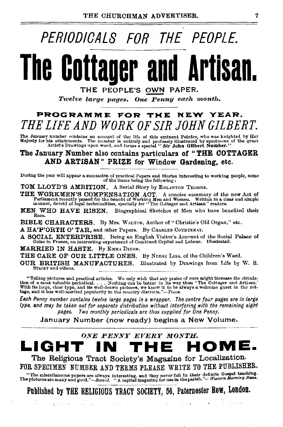# PERIODICALB FOR THE PEOPLE.

# **The Cottager and Artisan.**

THE PEOPLE'S OWN PAPER.

*Ttvelve large pages. One Penny each month.* 

### PROGRAMME FOR THE NEW YEAR. *THE LIFE AND WORK OF SIR JOHN GILBERT.*

The January number contains an account of the life of this eminent Painter, who was kuighted by Her<br>Majesty for his attainments. The number is entirely and profusely illustrated by specimens of the great<br>Artist's Drawings

### The January Number also contains particulars of "THE COTTAGER AND ARTISAN" PRIZE for Window Gardening, etc.

During the year will appear a succession of practical Papers and Stories interesting to working people, oome of tbe items being tbe following:

TOM LLOYD'S AMBITION. A Serial Story by EGLANTON THORNE.

THE WORKMEN'S COMPENSATION ACT. A concise summary of the new Act of Parliament recently passed for the benefit of Working Men and Women. Written in a clear and simple<br>manner, devoid of legal technicalities, specially for "The Cottager and Artisan" readers.

MEN WHO HAVE RISEN. Biographical Sketches of Men who have benefited their Race.

BIBLE CHARACTERS. By Mrs. WALTON, Author of "Christie's Old Organ," etc.

A HA'P'ORTH O' TAR, and other Papers. By CHARLES COURTENAY.

A SOCIAL ENTERPRISE. Being an English Visitor's Account of the Social Palace of Guise in France, an interesting experiment of Combined Capital aud Labour. Illustrated.

MARRIED IN HASTE. By EMMA DIXON.

THE CARE OF OUR LITTLE ONES. By NURSE LISA, of the Children's Ward.

OUR BRITISH MANUFACTURES. Illustrated by Drawings from Life by W. S. STACEY and others.

"Telling pictures and practical articles. We only wish that any praise of ours might increase the circulation of a most valuable periodical.... Nothing can be botter in its way than 'The Cottager and Artisan.' With its lar

*Each Penny number contains twelve large pages in a wrapper. The centre four pages are in farge type, and may be taken out for separate distribution without Interfering with the remaining eight pages. Two monthly periodicals are thus supplied for One Penny.* 

January Number (now ready) begins a New Volume.



FOR SPECIMEN NUMBER AND TERMS PLEASE WRITE TO THE PUBLISHER.

"The miscellaneous papers are always interesting, and they never fail in their definite Gospel teaching. 'fhe pictures are many and good."-Record. "A capital magazine for use in the parish."- Weaterr Morning Ness.

Published by THE RELIGIOUS TRACT SOCIETY, 56, Paternoster Row, London.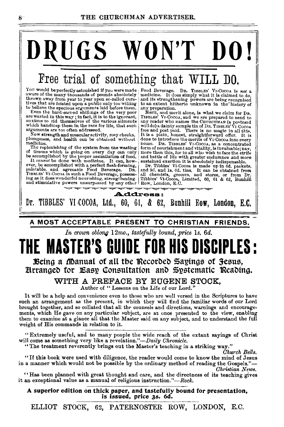# DRUGS WON'T DO J

be accomplished by the proper assimilation of food. and battle of life with greater endurance and more It cannot be done with medicine. It cannot be ever, be accomplished with a perfect flesh-forming, Dr. Tibbles' Vi-Coco

 $\begin{tabular}{l|c|c|c|c|c|c} \hline \textbf{F} & \textbf{B} & \textbf{C} & \textbf{D} & \textbf{S} & \textbf{S} & \textbf{S} & \textbf{S} & \textbf{S} & \textbf{S} & \textbf{S} & \textbf{S} & \textbf{S} & \textbf{S} & \textbf{S} & \textbf{S} & \textbf{S} & \textbf{S} & \textbf{S} & \textbf{S} & \textbf{S} & \textbf{S} & \textbf{S} & \textbf{S} & \textbf{S} & \textbf{S} & \textbf{S} & \textbf{S} & \$ Now strength and music of the various allments any reader who names the CHURCHAR (a postcard to send to which handicap them in the race for life, that such will do) a dainty sample tin of DR. TIBELES'VI Cocoal arguments ar medicine. The repletishing of the system from the wasting of the repletishing of the system from the wasting of the system from the order discussion of the repletishing of the repletishing of the repletishing of the replet



*In crown oblong* l2mo., *tastefully bound, price ls. 6d.* 

# **THE MASTER'S GUIDE FOR HIS DISCIPLES** :

Being a Manual of all the Recorded Sayings of Jesus, Eirranged for Easy Consultation and Systematic Reading.

WITH A PREFACE BY EUGENE STOCK,

Author of " Lessons on the Life of our Lord."

It will be a help and convenience even to those who are well versed in the Scriptures to have such an arrangement as the present, in which they will find the familiar words of our Lord brought together, and so collated that all the counsels and directions, warnings and encouragements, which He gave on any particular subject, are at once presented to the view, enabling them to examine at a glance all that the Master said on any subject, and to understand the full weight of His commands in relation to it.

"Extremely useful, and to many people the wide reach of the extant sayings of Christ will come as something very like a revelation."-Daily Chronicle.

"The treatment reverently brings out the Master's teaching in a striking way."

*Church Bells.* 

"If this book were used with diligence, the reader would come to know the mind of Jesus in a manner which would not be possible by the ordinary method of reading the Gospels."-*Christian News.* 

''Has been planned with great thought and care, and the directness of its teaching gives it an exceptional value as a manual of religious instruction."-Rock.

A superior edition on thick paper, and tastefully bound for presentation, is issued, price 3s. 6d.

ELLIOT STOCK, 62, PATERNOSTER ROW, LONDON, E.O.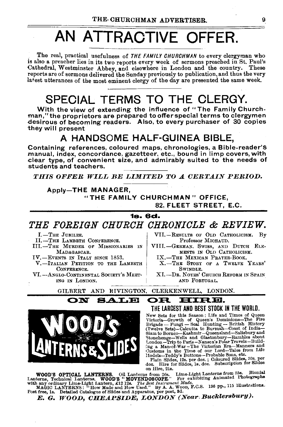# AN ATTRACTIVE OFFER.

The real, practical usefulness of THE FAMILY CHURCHMAN to every clergyman who is also a preacher lies in its two reports every week of sermons preached in St. Paul's Cathedral, Westminster Abbey, and elsewhere in London and the country. These reports are of sermons delivered 'the Sunday previously to publication, and thus the very latest utterances of the most eminent clergy of the day are presented the same week.

# SPECIAL TERMS TO THE CLERGY.

With the view of extending the influence of "The Family Churchman," the proprietors are prepared to offer special terms to clergymen desirous of becoming readers. Also, to every purchaser of 30 copies they will present

### A HANDSOME HALF-GUINEA BIBLE,

Containing references, coloured maps, chronologies, a Bible-reader's manual, index, concordance, gazetteer, etc., bound in limp covers, with .clear type, of convenient size, and admirably suited to the needs of students and teachers.

**THIS OFFER WILL BE LIMITED TO A CERTAIN PERIOD.** 

### Apply-THE MANAGER, "THE FAMILY CHURCHMAN" OFFICE, 82, FLEET STREET, E.C.

### 1&. &d.

*THE FOREIGN CHURCH CHRONICLE* & *REVIEW.* 

I.-THE JUBILEE.

II.-THE LAMBETH CONFERENCE.

III.-THE MURDER OF MISSIONARIES IN MADAGASCAR.

IV.-EVENTS IN ITALY SINCE 1853.

- V.-ITALIAN PETITION TO THE LAMBETH CONFERENCE.
- VI.-ANGLO-CONTINENTAL SOCIETY'S MEET-ING IN LONDON.

VII.-RESULTS OF OLD CATHOLICISM. By Professor MICHAUD.

- VIII.-GERMAN, SWISS, AND DUTCH ELE-MENTS IN OLD CATHOLICISM.
	- IX.-THE MEXICAN PRAYER-BOOK.
	- X.-THE STORY OF A TWELVE YEARS' SWINDLE.
	- XI.-DR. NOYES' CHURCH REFORM IN SPAIN AND PORTUGAL,

GILBERT AND HIVINGTON, CLERKENWELL, LONDON.

### **N SALE OR HIRE.**

THE LARGEST AND BEST STOCK IN THE WORlD.

New Sets for this Season : Life and Times of Queen<br>Victoria-Growth of Queen's Dominions-The Fire<br>Brigade - Fungi - Seal Hunting -- British History Inglue Sets)-Calcutta to Burmah-Coast of India-Siam to Borneo-Kashmir-Queensland-Salisbury and Stonehenge-Wells and Glastonbury-Rambles about<br>fonehenge-Wells and Glastonbury-Rambles about<br>London-Trip to Paris-Nansen's Pola c)ustoms in the Time of our Lord-Tales from Life Hodels-Teddy's Buttons-Probable Sons, etc. Plain Slides, 12s. per doz. ; Coloured; Slides, 30s. per doz. ; Hire for Slides, 1s. doz. Subscription for Slides

on Hire, 2ls.

WOOD'S OPTICAL LANTERNS. Oil Lanterns from 26s. Lime-Light Lanterns from 35s. Binnial Lanterns, Technical Lanterns. WOOD'S " MOVENDOSCOPE." For exhibiting Animated Photogrsphs

with any ordinary Lime-Light Lantern, £12 12s. *The Best Instrument Made.*<br>MAGIC LANTERNS: "How Made and How Used." By A. A. Woon, F.C.S. 136 pp., 115 Illustrations. Post free, 1s. Detailed Catalogue of Slides and Apparatus, per post, 3d.

*E. G. WOOD, CHEAPSIDE, LONDON (Near Bucklersbury).* 



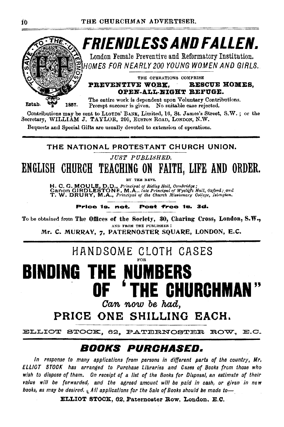

Contributions may be sent to LLOYDS' BANK, Limited, 16, St. James's Street, S.W.; or the Secretary, WILLIAM J. TAYLOR, 200, EUSTON ROAD, LONDON, N.W.

Bequests and Special Gifts are usually devoted to extension of operations.

### THE NATIONAL PROTESTANT CHURCH UNION.

JUST PUBLISHED.

ENGLISH CHURCH TEACHING ON FAITH, LIFE AND ORDER.

BY THE REVS.

H. C. G. MOULE, D.D., Principal of Ridley Hall, Cambridge;<br>Canon GIRDLESTONE, M.A., late Principal of Wycliffe Hall, Oxford: and<br>T. W. DRURY, M.A., Principal of the Church Missionary College, Islmgton.

Price 1s. net. Post free 1s. 3d.

To be obtained from The Offices of the Society, 30, Charing Cross, London, S.W., AND FROM THE PUBLISHER :

Mr. C. MURRAY, 7, PATERNOSTER SOUARE, LONDON, E.C.

# HANDSOME CLOTH CASES

### BINDING THI NUMB E **HE CHURCHMAN** Can now be had.

PRICE ONE SHILLING EACH.

ELLIOT STOCK, 62, PATERNOSTER ROW, E.C.

### *Books purchased.*

In response to many applications from persons in different parts of the country, Mr. ELLIOT STOCK has arranged to Purchase Libraries and Cases of Books from those who wish to dispose of them. On receipt of a list of the Books for Disposal, an estimate of their value will be forwarded, and the agreed amount will be paid in cash, or given in new books, as may be desired.  $\frac{1}{2}$  All applications for the Sale of Books should be made to  $-$ 

ELLIOT STOCK, 62, Paternoster Row, London, E.C.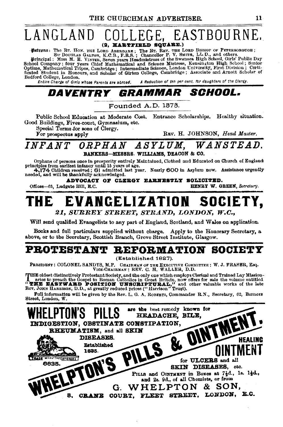### LANGLAND EASTBOURNE (2. HARTFIELD SQUARE.)

**Patrons:** The Rr. Hon. THE LORD AREBARE, The Rr. REV. THE LORD BISHOP OF PETERBOROOTOH;<br>
Finitipal Str DOUGLAS GALTON, K.C.B., F.R.S.; Chancellor P. V. SMITH, LL.D., and others.<br>
Principal: Miss M. E. VINTER, Seven years Bedford College, London.

A Reduction of ten per cent. for daughters of the Clergy. Entire Charge of Girls whose Parents are abroad.

#### DAVENTRY *GRAMMAR SCHOOL.*

Founded A.D. 1373.

Public School Education at Moderate Cost. Entrance Scholarships. Healthy situation. Good Buildings, Fives-court, Gymnasium, etc.

Special Terms for sons of Clergy.

For prospectus apply

REV. H. JOHNSON, Head Master.

#### ORPHAN ASYLUM. WANSTEAD.  $\emph{INFANT}$ BANKERS-MESSRS. WILLIAMS, DEACON & CO.

Orphans of persons once in prosperity entirely Maintaiued, Clothed and Educated on Church of England principles from earliest infancy until 15 years of age.  $4.174$  Children received; 61 admitted last year. Nearly 600 in

ADVOCACY OF CLERGY EARNESTLY SOLICITED.

Offices-03, Ludgate Hill, E.C.

HENRY W. GREEN, Secretary.

EVANGELIZATION SOCIETY, THE

21, SURREY STREET, STRAND, LONDON, W.C.,

Will send qualified Evangelists to any part of England, Scotland, and Wales on application.

Books and full particulars supplied without charge. Apply to the Honorary Secretary, a above, or to the Secretary, Scottish Branch, Grove Street Institute, Glasgow.

# **PROTESTANT REFORMATION SOCIETY**

(Established 1827).

PRESIDENT: COLONEL SANDYS, M.P. CHAIRMAN OF THE EXECUTIVE COMMITTEE: W.J. FRASER, Esq. VICE-CHAIRMAN: REV. C. H. WALLER, D.D.

THE oldest distinctively Protestant Society, and the only one which employs Clerical and Trained Lay Mission-<br>
1 aries to preach the Gospel to Roman Catholics in Great Britain, now offers for sale the volume entitled<br>
"THE

Full information will be given by the Rev. L. G. A. ROBERTS, Commander R.N., Secretary, 62, Berners Street, London, W.

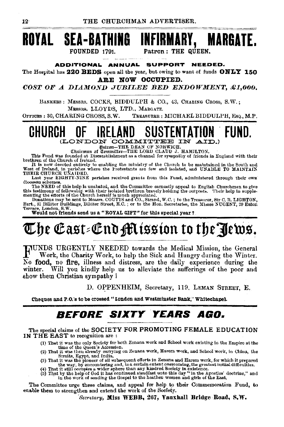



Patron: THE QUEEN.

#### **ADDITIONAL ANNUAL SUPPORT** NEEDED.

The Hospital has 220 BEDS open all the year, but owing to want of funds ONLY 150 ARE NOW OCCUPIED.

COST OF A DIAMOND JUBILEE BED ENDOWMENT, £1,000.

BANKERS: MESSRS. COCKS, BIDDULPH & CO., 43, CHABING CROSS, S.W.; MESSRS. LLOYDS. LTD., MARGATE.

OFFICES: 30, CHARING CROSS, S.W. TREASURER: MICHAEL BIDDULPH, ESO., M.P.

#### GHURGH (LONDON COMMITTEE

Batron-THE DEAN OF NORWICH.

Chairman of Committee-THE LORD CLAUD J. HAMILTON.

This Fund was founded at Disestablishment as a channel for sympathy of friends in England with their brethren of the Church of Ireland.

It is now devoted entirely to enabling the ministry of the Church to be maintained in the South and West of Ireland, in parishes where the Protestants are few and isolated, and UNABLE TO MAINTAIN THEIR CHURCH UNAIDED.

Last year EIGHTY-NINE parishes received grants from this Fund, administered through their own diocesan schemes.

droomsall scheme.<br>The NERD of this help is unabated, and the Committee earnestly appeal to English Churchmen to give<br>this testimony of fellowship with their isolated brethren bravely holding the outposts. Their help in sup

Terrace, London, S.W.<br>Would not friends send us a "ROYAL GIFT" for this special year?

# The East-End Mission to the Jews.  $\,$

HUNDS URGENTLY NEEDED towards the Medical Mission, the General Work, the Charity Work, to help the Sick and Hungry during the Winter. No food, no fire, illness and distress, are the daily experience during the Will you kindly help us to alleviate the sufferings of the poor and winter. show them Christian sympathy ?

D. OPPENHEIM, Secretary, 119, LEMAN STREET, E.

Cheques and P.O.'s to be crossed "London and Westminster Bank." Whitechapel.

#### *BEFORE SIXTY YEARS* AGO.

The special claims of the SOCIETY FOR PROMOTING FEMALE EDUCATION IN THE EAST to recognition are :

- (1) That it was the only Society for both Zenana work and School work existing in the Empire at the time of the Queen's Accession.
- (2) That it was then already carrying on Zenana work, Harem work, and School work, in China, the Straits, Egypt, and India, which is the contract of the strait with the straits of the planet of all subsequent efforts in Zenans and Harem work, for which it prepared
- the way, by encountering and, to a certain extent overcoming, the greatest initial difficulties.
- (4) That it still occupies a wider sphere than any kindred Society in existence.<br>(5) That by the help of God it has continued steadfast unto this day "in the Apostles' doctrine," and
- in the work of sending the Gospel to the heathen women and girls of the East.

The Committee urge these claims, and appeal for help to their Commemoration Fund, to enable them to strengthen and extend the work of the Society.

Secretary, Miss WEBB, 267, Vanxhall Bridge Road, S.W.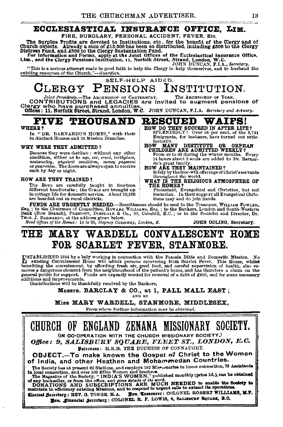### ECCLESIASTICAL INSURANCE OFFICE. LIM.

FIRE, BURGLARY, PERSONAL ACCIDENT, FEVER, Etc.

The Surplus Profits are devoted to Institutions, etc., for the benefit of the Clergy and of Church objects. Already a sum of £13,500 has been so distributed, including £500 to the Clergy Distress Fund, and £500 to the Cle

Distress rund, and good to the clergy bustemation rund.<br>For Information and Forms, apply at the Joint Offices of the Ecclesiastical Insurance Office,<br>Lim., and the Clergy Pensions Institution, 11, Norfolk Street, Strand, L

"This is a serious attempt made in good faith to help the Clergy to help themselves, and to husband the existing resources of the Church."—Guardian.

#### SELF-HELP AIDED.  $CLERGY$  $\mathbf{f}$ **ENSIONS** INSTITUTION.

Joint Presidents. The ARCHERISTOP OF CANTERBURY. The ARCHESISTOP OF TORN CONTRIBUTIONS and LEGACIES are invited to augment pensions of Clergy who have purchased annuities.<br>Clergy who have purchased annuities. The Municipal

#### **THOUSAND RESCUED WAIPS!** eive

#### WHERE?

In "DR. BARNARDO'S HOMES," with their 84 distinct Houses and 24 Mission Branches.

#### WHY WERE THEY ADMITTED?

Because they were destitute; without any other condition, either as to age, sex, creed, birthplace, nationality, physical condition, money payment<br>or quarantee. The doors are always open to receive such by day or night.

#### HOW ARE THEY TRAINED?

The Boys are carefully taught in fourteen<br>different haudicrafts; the GIRLS are brought up in cottage life for domestic service. About 19,000 are boarded out in rural districts.

HOW DO THEY SUCCEED IN AFTER LIFE?<br>SPLENDIDLY! Over 98 per cent, of the 8,731 Emigrants, for instance, have turned out satisfactorily.

### $\overline{H}$ <sub>0</sub> $\overline{W}$ <sup>-</sup>

OW MANY DESTITUTE OR ORPHAN<br>CHILDREN ARE ADMITTED WEEKLY?<br>From 40 to 60 during the winter mouths. Every<br>24 hours about 8 souls are added to Dr. Barnardo's great family.<br>HOW ARE THEY MAINTAINED?

Solely by the free-will offerings of Christ's servants throughout the world.

WHAT IS THE RELIGIOUS ATMOSPHERE OF THE HOMES?

Protestant, Evangelical and Christian, but not<br>Sectarian. In their support all Evangelical Christians may and do join hands.

FUNDS ARE URGENTLY NEEDED.-Remittances should be sent to the Treasurer, WILLIAM FOWLER. Esq.; to the Chairman of Committee, Howken Witchiams, Esq.; to the Sankers, London and South-Western<br>Bank (Bow Branch), PRESCOTT, DIMSDALE & Co., 50, Cornhill, E.C.; or to the Founder and Director, Dr.<br>Trues, J. Bankanoo,

### MARY WARDELL CONVALESCENT HOME 40 20 3 FOR SCARLET FEVER, STANMORE.

INSTABLISHED 1884 by a lady working in connection with the Female Bible and Domestic Mission. No<br>mediting Convalescent Home will admit persons recovering from Scartet Fever. This Home, whilst<br>benefiting the convalescent, b general public for support. Funds are urgently needed for removal of a debt of £600, and for some necessary additions and improvements.

Contributions will be thankfully received by the Bankers.

Messrs. BARCLAY & CO., at 1, PALL MALL EAST; AND BY

Miss MARY WARDELL, STANMORE, MIDDLESEX,

From whom further information may be obtained.

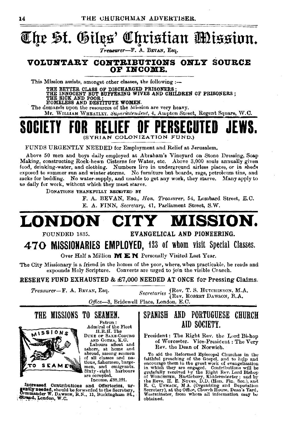

FUNDS URGENTLY NEEDED for Employment and Relief at Jerusalem.

A hove 50 men and boys daily employed at Abraham's Vineyard on Stone Dressing, Soap Making, constructing Rook-hewn Cisterns for Water, etc. Above 3,000 souls annually given food, drinking-water, and clothing. Numbers live in underground airless places, or in sheds exposed to summer sun and winter storms. No furniture but boards, rags, petroleum tins, and sacks for bedding. No water-supply, and unable to get any work, they starve. Many apply to us daily for work, without which they must starve.

DONATIONS THANKFULLY RECKIVED BY

F. A. BEVAN, EsQ., *Hon. Treasurer,* 64, Lombard Street, E. C. E. A. FINN, *Secretary,* 41, Parliament Street, S.W.

# **LONDON CITY MISSION.**<br>EVANGELICAL AND PIONEERING.

EVANGELICAL AND PIONEERING.

**4 7 0 MISSIONARIES EMPLOYED,** 123 of whom visit Special Classes.

Over Half a Million **MEN** Personally Visited Last Year.

The City Missionary is a friend in the homes of the poor, where, when practicable, he reads and expounds Holy Scripture. Converts are urged to join the visible Church.

RESERVE FUND EXHAUSTED & £7,000 NEEDED AT ONCE for Pressing Claims.

*Treasurer*-F. A. Bevan, Esq. *Secretaries* (Rev. T. S. HUTCHINSON, M.A. *Secretaries* (Rev. ROBERT DAWSON, B.A.

Office-3, Bridewell Place, London, E.C.





AND GOTHA, K.G.

Labours afloat and ashore, at home and of all classes and na-<br>tions, fishermen, bargemen, and emigrants.<br>Sixty-eight harbours<br>are occupied.

Income, £88,291.

Increased Contributions and Offertories, ur-<br>genity needed, should be forwarded to the Secretary, Commander W. DAWSON, R.N., 11, Buckingham St., ...<br>".strand, London, W.C.

### SPANISH AND PORTUGUESE CHURCH AID SOCIETY.

President: The Right Rev, the Lord Bi-hop of Worcester. Vice-President: The Very Rev. the Dean of Norwich.

To ald the Reformed Episcopal Churches in the faithful preaching of the Gospel, and to help and encourage them in the great work of evangelization in which they are engaged. Contributions will be gratefully received by the Hight Rev. Lord Bishop of Worcestrer, Hartlebury, Kldderminster; and by<br>the Revs. H. E. Noves, D.D. (Hon. Fin. Sec.), and<br>E. C. UNMACK, M A. (Organizing and Deputation<br>Secretary), at the Office, Church House, Dean's Yard, Westminster, from whom all Information may he obtained.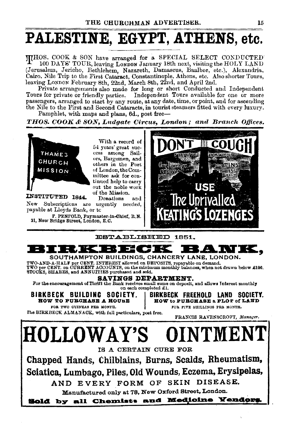# PALESTINE, EGYPT, ATHENS, etc.

THOS. COOK & SON have arranged for a SPECIAL SELECT CONDUCTED 100 DAYS' TOUR, leaving LONDON January 18th next, visiting the HOLY LAND (Jerusalem, Jericho, Bethlehem, Nazareth, Damascus, Baalbec, etc.), Alexandria, Cairo, Nile Trip to the First Cataract, Constantinople, Athens, etc. Also shorter Tours, leaving LoNDON February 8th, 22nd, March 8th, 22nd, and April 2nd.

Private arrangements also made for long or short Conducted and Independent<br>Tours for private or friendly parties. Independent Tours available for one or more passengers, arranged to start by any route, at any date, time, or point, and for ascending the Nile to the First and Second Cataracts, in tourist steamers fitted with every luxury. Pamphlet, with maps and plans, 6d., post free-

*THOS. COOK & SON,* Ludgate Circus, L01ulon; and Branch *Offices.* 



With a record of 54 years' great suc cess among Sailors, Bargemen, and others in the Port of London, the Comtinued help to carry out the noble work of the Mission.

INSTITUTED 1844. Donations and New Subscriptions are urgently needed, payable at Lloyds Bank, or tc

F. PENFOLD, Paymaster-in-Chief, R.N. 31, New Bridge Street, London, E.G.





TWO-AND-A-HALF per CENT. INTEREST allowed on DEPOSITS, repayable on demand.<br>TWO per CENT. on CURRENT ACCOUNTS, on the minimum monthly balances, when not drawn below £100. STOCKS, SHARES, and ANNUITIES purchased and sold.

SAVINGS DEPARTMENT.<br>For the encouragement of Thrift the Bank receives small sums on deposit, and allows Interest monthly on each completed £1. For the encouragement of Thrift the Bank receives small sums on deposit, and allows Interest monthly<br>BIRKBECK BUILDINC SOCIETY. BIRKBECK FREEHOLD LAND SOCIETY.<br>ROW TO PURCHARE A HOURE. HOW to PURCHARE & PLOT of LAND.

BOW TO PUECHASE A HOUSE | HOW to PUECHASE a PLOT of LAND

FOR TWO GUINEAS PER MONTH. FOR FIVE SHILLINGS PER MONTH.

Fhe BIRKBECK ALMANACK, with full particulars, post free. FRANCIS RAVENSCROFT, Manager.

HOLLOWAY'S OINTMENT IS A CERTAIN CURE FOR Chapped Hands, Chilblains, Burns, Scalds, Rheumatism\_, Sciatica, Lumbago, Piles, Old Wounds, Eczema, Erysipelas, AND EVERY FORM OF SKIN DISEASE. Manufactured only at 78, New Oxford Street, London. Sold by all Chemiste and Medicine Yendors